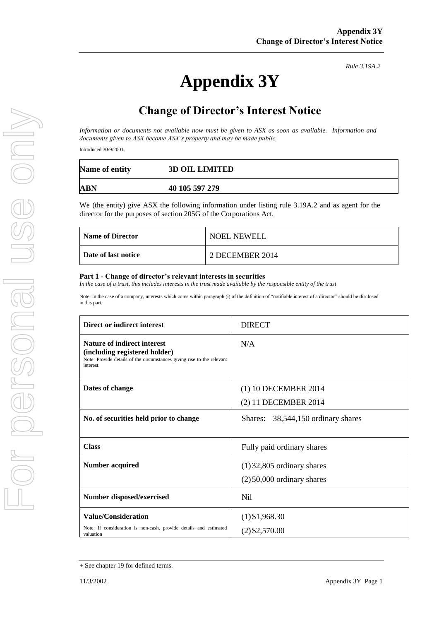*Rule 3.19A.2*

## **Change of Director's Interest Notice**

*Information or documents not available now must be given to ASX as soon as available. Information and documents given to ASX become ASX's property and may be made public.*

Introduced 30/9/2001.

| Name of entity | <b>3D OIL LIMITED</b> |
|----------------|-----------------------|
| ABN            | 40 105 597 279        |

We (the entity) give ASX the following information under listing rule 3.19A.2 and as agent for the director for the purposes of section 205G of the Corporations Act.

| <b>Name of Director</b> | <b>NOEL NEWELL</b> |
|-------------------------|--------------------|
| Date of last notice     | 2 DECEMBER 2014    |

## **Part 1 - Change of director's relevant interests in securities**

In the case of a trust, this includes interests in the trust made available by the responsible entity of the trust

Note: In the case of a company, interests which come within paragraph (i) of the definition of "notifiable interest of a director" should be disclosed in this part.

| Direct or indirect interest                                                                                                                         | <b>DIRECT</b>                      |  |
|-----------------------------------------------------------------------------------------------------------------------------------------------------|------------------------------------|--|
| Nature of indirect interest<br>(including registered holder)<br>Note: Provide details of the circumstances giving rise to the relevant<br>interest. | N/A                                |  |
| Dates of change                                                                                                                                     | (1) 10 DECEMBER 2014               |  |
|                                                                                                                                                     | (2) 11 DECEMBER 2014               |  |
| No. of securities held prior to change                                                                                                              | Shares: 38,544,150 ordinary shares |  |
|                                                                                                                                                     |                                    |  |
| <b>Class</b>                                                                                                                                        | Fully paid ordinary shares         |  |
| <b>Number acquired</b>                                                                                                                              | $(1)$ 32,805 ordinary shares       |  |
|                                                                                                                                                     | $(2)$ 50,000 ordinary shares       |  |
| Number disposed/exercised                                                                                                                           | Nil                                |  |
| <b>Value/Consideration</b>                                                                                                                          | $(1)$ \$1,968.30                   |  |
| Note: If consideration is non-cash, provide details and estimated<br>valuation                                                                      | $(2)$ \$2,570.00                   |  |

<sup>+</sup> See chapter 19 for defined terms.

**Appendix 3Y**